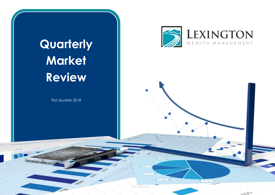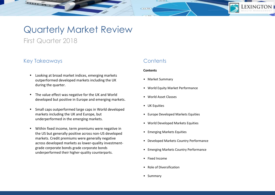# Quarterly Market Review

First Quarter 2018

## Key Takeaways

Sunia

- Looking at broad market indices, emerging markets outperformed developed markets including the UK during the quarter.
- The value effect was negative for the UK and World developed but positive in Europe and emerging markets.
- Small caps outperformed large caps in World developed markets including the UK and Europe, but underperformed in the emerging markets.
- Within fixed income, term premiums were negative in the US but generally positive across non-US developed markets. Credit premiums were generally negative across developed markets as lower-quality investmentgrade corporate bonds grade corporate bonds underperformed their higher-quality counterparts.

## **Contents**

### **Contents**

 $C3.3.705$ 

- Market Summary
- World Equity Market Performance
- World Asset Classes
- UK Equities
- Europe Developed Markets Equities
- World Developed Markets Equities
- Emerging Markets Equities
- Developed Markets Country Performance
- Emerging Markets Country Performance
- Fixed Income
- Role of Diversification
- Summary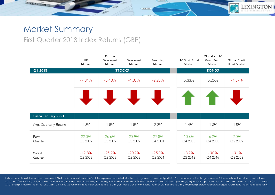# Market Summary

Sun S.

## First Quarter 2018 Index Returns (GBP)

|                       | UК<br>Market        | Europe<br>Developed<br>Market | Developed<br>Market | Emerging<br>Market  | UK Govt. Bond<br>Market | Global ex UK<br>Govt. Bond<br>Market | Global Credit<br>Bond Market |
|-----------------------|---------------------|-------------------------------|---------------------|---------------------|-------------------------|--------------------------------------|------------------------------|
| Q1 2018               |                     |                               | <b>STOCKS</b>       |                     |                         | <b>BONDS</b>                         |                              |
|                       | $-7.31%$            | $-5.48%$                      | $-4.80%$            | $-2.20%$            | 0.33%                   | 0.25%                                | $-1.59%$                     |
|                       |                     |                               |                     |                     |                         | T                                    |                              |
| Since Jenuery 2001    |                     |                               |                     |                     |                         |                                      |                              |
| Avg. Quarterly Return | 1.3%                | 1.5%                          | 1.5%                | 2.8%                | 1.4%                    | 1.3%                                 | 1.5%                         |
| Best<br>Quarter       | 22.0%<br>Q3 2009    | 26.6%<br>Q3 2009              | 20.9%<br>Q3 2009    | 27.8%<br>Q4 2001    | 10.6%<br>Q4 2008        | 6.2%<br>Q42008                       | 7.0%<br>Q2 2009              |
| Worst<br>Quarter      | $-19.8\%$<br>Q32002 | $-25.2%$<br>Q32002            | $-20.9%$<br>Q32002  | $-25.0%$<br>Q3 2001 | $-3.9%$<br>Q2 2013      | $-3.0%$<br>Q42016                    | $-3.1%$<br>Q32008            |

 $C3.3.991$ 

**EXINGTON** 

Indices are not available for direct investment. Their performance does not reflect the expenses associated with the management of an actual portfolio. Past performance is not a guarantee of future results. Actual returns MSCI data @ MSCI 2017, all rights reserved. Bloomberg Barclays data provided by Bloomberg. Citi fixed income indices @ 2017 by Citigroup. MSCI UK Index (net div., GBP), MSCI Europe Index (net div., GBP), MSCI World Index ( MSCI Emerging Markets Index (net div., GBP), Citi World Government Bond Index UK (hedged to GBP), Citi World Government Bond Index ex UK (hedged to GBP), Bloomberg Barclays Global Aggregate Credit Bond Index (hedged to GBP).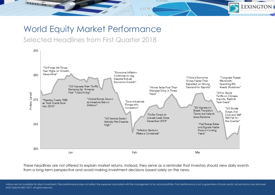# World Equity Market Performance

## Selected Headlines from First Quarter 2018

Sunis.



 $C3.3.990$ 

**EXINGTON** 

These headlines are not offered to explain market returns. Instead, they serve as a reminder that investors should view daily events from a long-term perspective and avoid making investment decisions based solely on the news.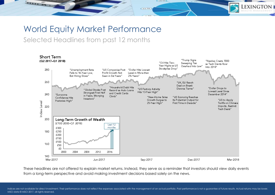# World Equity Market Performance

## Selected Headlines from past 12 months

Smith



 $C3.9.991$ 

**EXINGTON** 

These headlines are not offered to explain market returns. Instead, they serve as a reminder that investors should view daily events from a long-term perspective and avoid making investment decisions based solely on the news.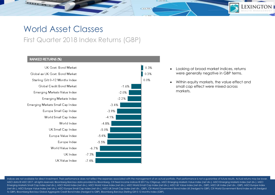# World Asset Classes

## First Quarter 2018 Index Returns (GBP)

### **RANKED RETURNS (%)**

Sunta

UK Govt, Bond Market Global ex UK Govt, Bond Market Sterling Gilt 0-12 Months Index Global Credit Bond Market Emerging Markets Value Index Emerging Markets Index Emerging Markets Small Cap Index Europe Small Cap Index World Small Cap Index World Index UK Small Cap Index Europe Value Index Europe Index World Value Index  $-6.7%$ UK Index  $-7.3%$ UK Value Index  $-7.4%$ 



 Looking at broad market indices, returns were generally negative in GBP terms.

 Within equity markets, the value effect and small cap effect were mixed across markets.

Indices are not available for direct investment. Their performance does not reflect the expenses associated with the management of an actual portfolio. Past performance is not a quarantee of future results. Actual returns MSCI data @ MSCI 2017, all rights reserved. Bloomberg Barclays data provided by Bloomberg. Citi fixed income indices @ 2017 by Citigroup. MSCI Emerging Markets Value Index (net div.), MSCI Emerging Markets Index (net div.) Emerging Markets Small Cap Index (net div.), MSCI World Index (net div.), MSCI World Value Index (net div.), MSCI World Small Cap Index (net div.), MSCI UK Value Index (net div., MSCI World Small Cap Index (net div.), MSCI (net div.), MSCI Europe Value Index (net div.), MSCI Europe Small Cap Index (net div.), MSCI UK Small Cap Index (net div., GBP), Citi World Government Bond Index UK (hedged to GBP). Citi World Government Bond Index ex UK ( to GBP), Bloomberg Barclays Global Aggregate Credit Bond Index (hedged to GBP), Bloomberg Barclays Sterling Gilt 0-12 Months Index (GBP).

 $C3.9.996$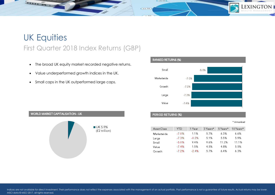# UK Equities First Quarter 2018 Index Returns (GBP)

- The broad UK equity market recorded negative returns.
- Value underperformed growth indices in the UK.

Smith .

• Small caps in the UK outperformed large caps.





### PERIOD RETURNS (%)

 $C3.3.991$ 

\* Annualised

EXINGT

| Asset Class | YTD     | 1 Year  | 3 Years* | 5 Years* | 10 Years* |
|-------------|---------|---------|----------|----------|-----------|
| Marketwide  | $-7.0%$ | 1.1%    | 5.7%     | 6.3%     | 6.6%      |
| Large       | $-7.3%$ | $-0.2%$ | 5.1%     | 5.5%     | 5.9%      |
| Small       | $-5.0%$ | 94%     | 9.6%     | 11 2%    | 11.1%     |
| Value       | $-7.4%$ | 1.5%    | 4.5%     | 48%      | 5.5%      |
| Growth      | $-7.2%$ | $-24%$  | 5.7%     | 6.4%     | 6.3%      |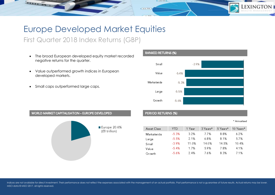# Europe Developed Market Equities First Quarter 2018 Index Returns (GBP)

- The broad European developed equity market recorded negative returns for the quarter.
- Value outperformed growth indices in European developed markets.
- Small caps outperformed large caps.

Small S



WORLD MARKET CAPITALISATION - EUROPE DEVELOPED



## PERIOD RETURNS (%)

 $C3.3.991$ 

\* Annualised

EXINGT

| Asset Class | YTD     | 1 Year | 3 Years* | 5 Years* | 10 Years* |
|-------------|---------|--------|----------|----------|-----------|
| Marketwide  | $-5.3%$ | 3.2%   | 77%      | 8.8%     | 6.2%      |
| Large       | $-5.5%$ | 2.1%   | 6.8%     | 8.1%     | 5.7%      |
| Small       | -3.9%   | 11.0%  | 140%     | 14.5%    | 10.4%     |
| Value       | $-5.4%$ | 1.7%   | 5.9%     | 7.8%     | 4.1%      |
| Growth      | -5.6%   | 24%    | 7.6%     | 8.3%     | 7.1%      |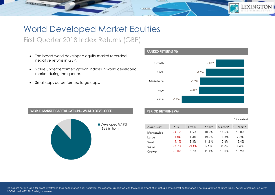# World Developed Market Equities

First Quarter 2018 Index Returns (GBP)

- The broad world developed equity market recorded negative returns in GBP.
- Value underperformed growth indices in world developed market during the quarter.
- Small caps outperformed large caps.

Smith



### WORLD MARKET CAPITALISATION - WORLD DEVELOPED



## PERIOD RETURNS (%)

 $C3.9.996$ 

#### \* Annualised

**EXINGT** 

| Asset Class | YTD      | 1 Year | 3 Years* | 5 Years* | 10 Years* |
|-------------|----------|--------|----------|----------|-----------|
| Marketwide  | $-4.7%$  | 1.5%   | 10.2%    | 11.6%    | 10.0%     |
| Large       | $-4.8%$  | 1.3%   | 100%     | 11.5%    | 97%       |
| Small       | $-4.1%$  | 3.3%   | 11.6%    | 12.6%    | 12.4%     |
| Value       | $-6.7\%$ | $-31%$ | 8.6%     | 98%      | 84%       |
| Growth      | $-3.0%$  | 5.7%   | 11.4%    | 13.0%    | 10.9%     |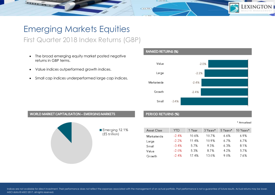# Emerging Markets Equities

## First Quarter 2018 Index Returns (GBP)

- The broad emerging equity market posted negative returns in GBP terms.
- Value indices outperformed growth indices.

Small S

• Small cap indices underperformed large cap indices.



## **WORLD MARKET CAPITALISATION - EMERGING MARKETS**



## PERIOD RETURNS (%)

 $C3.9.996$ 

#### \* Annualised

| Asset Class | YTD      | 1 Year | 3 Years* | 5 Years* | 10 Years* |
|-------------|----------|--------|----------|----------|-----------|
| Marketwide  | $-2.4%$  | 10.6%  | 10.7%    | 6.6%     | 6.9%      |
| Large       | $-2.2\%$ | 11.4%  | 109%     | 6.7%     | 6.7%      |
| Small       | $-3.4%$  | 5.7%   | 9.3%     | ለ 3%     | 81%       |
| Value       | $-2.0%$  | 5.3%   | 87%      | 4.2%     | 5.7%      |
| Growth      | $-2.4%$  | 174%   | 130%     | 9.0%     | 7.6%      |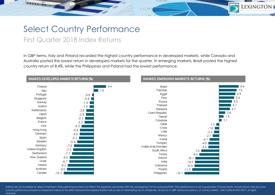# Select Country Performance

## First Quarter 2018 Index Returns

Sunta

In GBP terms, Italy and Finland recorded the highest country performance in developed markets, while Canada and Australia posted the lowest return in developed markets for the quarter. In emerging markets, Brazil posted the highest country return of 8.4%, while the Philippines and Poland had the lowest performance.

 $C3.3,950$ 

EXINGTON



Indices are not available for direct investment. Their performance does not reflect the expenses associated with the management of an actual portfolio. Past performance is not a guarantee of future results. Actual returns Country performance based on respective indices in the MSCI Standard Developed Market Indices (net of withholding tax on dividends). All returns in GBP and local currency of country market . MSCI data © MSCI 2017, all righ reserved.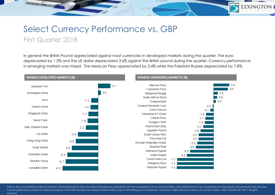# Select Currency Performance vs. GBP First Quarter 2018

Sunta

In general the British Pound appreciated against most currencies in developed markets during the quarter. The euro depreciated by 1.2% and the US dollar depreciated 3.6% against the British pound during the quarter. Currency performance in emerging markets was mixed. The Mexican Peso appreciated by 3.4% while the Pakistani Rupee depreciated by 7.8%.

 $C3.3.996$ 



Indices are not available for direct investment. Their performance does not reflect the expenses associated with the management of an actual portfolio. Past performance is not a quarantee of future results. Actual returns Country performance based on respective indices in the MSCI Standard Developed Market Indices (net of withholding tax on dividends). All returns in GBP and local currency of country market . MSCI data © MSCI 2017, all rights reserved.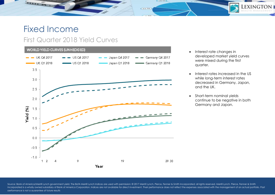# Fixed Income

Sunta

## First Quarter 2018 Yield Curves

### WORLD YIELD CURVES (UNHEDGED)



• Interest rate changes in developed market yield curves were mixed during the first quarter.

LEXINGTON

- Interest rates increased in the US while long-term interest rates decreased in Germany, Japan, and the UK.
- Short-term nominal yields continue to be negative in both Germany and Japan.

Source: Bank of America/Merrill Lynch government yield. The BofA Merrill Lynch Indices are used with permission; © 2017 Merrill Lynch, Pierce, Fenner & Smith Incorporated; all rights reserved. Merrill Lynch, Pierce, Fenner Incorporated is a wholly owned subsidiary of Bank of America Corporation. Indices are not available for direct investment. Their performance does not reflect the expenses associated with the management of an actual portfol performance is not a guarantee of future results

 $C3.3.991$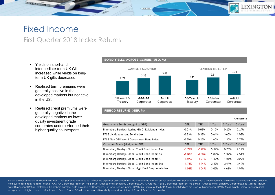## Fixed Income First Quarter 2018 Index Returns

• Yields on short-and intermediate-term UK Gilts increased while yields on longterm UK gilts decreased.

Small S

- Realised term premiums were generally positive in the developed markets but negative in the US.
- Realised credit premiums were generally negative in the developed markets as lower quality investment grade corporates underperformed their higher quality counterparts.

### BOND YIELDS ACROSS ISSUERS (USD, %)

 $C3.9.996$ 



### PERIOD RETURNS (GBP, %)

| Government Bonds (Hedged to GBP)                     | QTR      | <b>YTD</b> | 1 Year | 3 Years* | 5 Years* |
|------------------------------------------------------|----------|------------|--------|----------|----------|
| Bloomberg Barclays Sterling Gilt 0-12 Months Index   | 0.03%    | 0.03%      | 0.12%  | 0.25%    | 0.29%    |
| FTSE UK Government Bond Index                        | 0.33%    | 0.33%      | 0.64%  | 3.65%    | 4.52%    |
| FTSE Non-GBP World Government Bond Index             | 0.25%    | 0.25%      | 1.60%  | 1.30%    | 2.79%    |
| Corporate Bonds (Hedged to GBP)                      | QTR      | <b>YTD</b> | 1 Year | 3 Years* | 5 Years* |
| Bloomberg Bardays Global Credit Bond Index: Aaa      | $-0.79%$ | $-0.79%$   | 0.34%  | 0.75%    | 2.12%    |
| Bloomberg Barclays Global Credit Bond Index: Aa      | $-1.00%$ | $-1.00%$   | 1.07%  | 1.39%    | 2.51%    |
| Bloomberg Barclays Global Credit Bond Index: A       | $-1.87%$ | $-1.87%$   | 1.22%  | 1.86%    | 3.00%    |
| Bloomberg Barclays Global Credit Bond Index: Baa     | $-1.74%$ | $-1.74%$   | 2.33%  | 2.44%    | 3.49%    |
| Bloomberg Barclays Global High Yield Corporate Index | $-1.04%$ | $-1.04%$   | 3.03%  | 4.68%    | 4.97%    |

Indices are not available for direct investment. Their performance does not reflect the expenses associated with the management of an actual portfolio. Past performance is not a guarantee of future results. Actual returns Yield curve data from: Federal Reserve, AAA-AA Corporates represent the Bank of America Merrill Lynch US Corporates, AA-AAA rated. A-BBB Corporates represent the Bank of America Merrill Lynch US Corporates, BBB-A rated. Re data: Dimensional Returns database. Bloombera Barclays data provided by Bloombera. Citi fixed income indices @ 2017 by Citiaroup, the BofA Merrill Lynch Indices are used with permission: @ 2017 Merrill Lynch. Pierce, Fenne Incorporated; all rights reserved. Merrill Lynch, Pierce, Fenner & Smith Incorporated is a wholly owned subsidiary of Bank of America Corporation.

\* Annualised

EXINGTON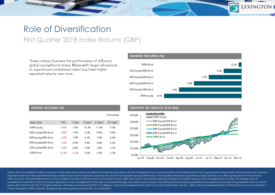# Role of Diversification First Quarter 2018 Index Returns (GBP)

These indices illustrate the performance of different global equity/bond mixes. Mixes with larger allocations to equities are considered riskier but have higher expected returns over time.



**EXINGTO** 

|                     |            |        |          |          | * Annualised |
|---------------------|------------|--------|----------|----------|--------------|
| Asset Class         | <b>YTD</b> | 1 Year | 3 Years* | 5 Years* | 10 Years*    |
| 100% Equity         | -4.5%      | 2.4%   | 10.2%    | 11.0%    | 9.3%         |
| 80% Equity/20% Bond | $-3.6%$    | 1.9%   | 8.3%     | 9.0%     | 8.0%         |
| 60% Equity/40% Bond | $-2.8%$    | 1.4%   | 6.3%     | 7.0%     | 6.6%         |
| 40% Equity/60% Bond | $-1.9%$    | 0.9%   | 4.4%     | 5.0%     | 5.2%         |
| 20% Equity/80% Bond | $-1.0%$    | 0.4%   | 2.5%     | 3.0%     | 3.7%         |
| 100% Bond           | $-0.2%$    | -0.2%  | 0.5%     | 1.0%     | 2.1%         |

#### GROWTH OF WEALTH (£10,000) **Equity/Bond Mix** £35,000 100% Equity - 80% Equity/20% Bond £30,000 60% Equity/40% Bond £25,000 40% Equity/60% Bond 20% Equity/80% Bond £20,000 -100% Bond £15,000 £10,000 £5,000

Jan-99 Dec-00 Nov-02 Oct-04 Sep-06 Aug-08 Jul-10 Jun-12 May-14 Apr-16 Mar-18

Indices are not available for direct investment. Their performance does not reflect the expenses associated with the management of an actual portfolio. Past performance is not a guarantee of future results. Actual returns Asset allocations and the hypothetical index portfolio returns are for illustrative purposes only and do not represent actual performance. The securities held in the hypothetical index portfolios may differ significantly f client accounts. Simulated performance may not reflect the impact that economic and market factors might have had on the adviser's decision making if the adviser were actually managing client money. This strategy was not available for investment in the time periods depicted. Actual management of this type of simulated strategy may result in lower returns. Past performance (including hypothetical past performance) does not guarantee future results. MSCI data © MSCI 2017, all rights reserved. Citi fixed income indices © 2017 by Citigroup. Global stocks represented by MSCI All Country World Index (net div., GBP) and bonds represented by Citi World Government b 5 Years (hedged to GBP). Globally diversified allocations rebalanced monthly, no withdrawals.

 $C3.9.96$ 

### PERIOD RETURNS (%)

Sunta